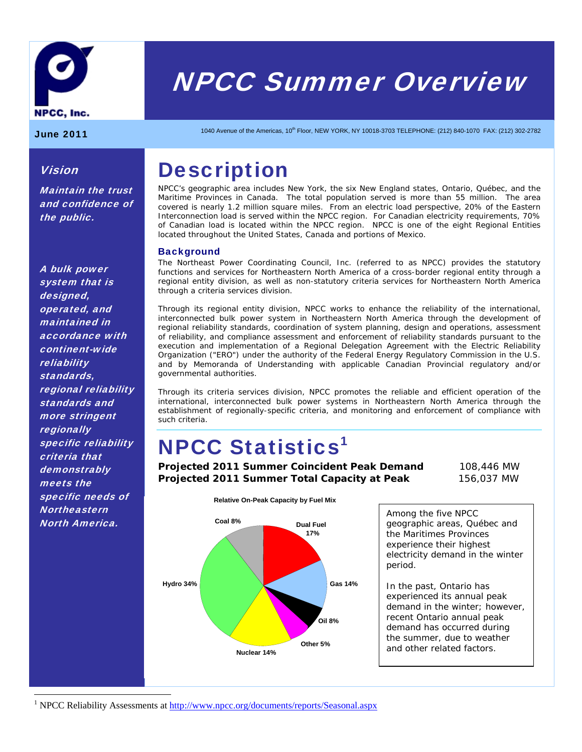

# NPCC Summer Overview

Vision

the public.

Maintain the trust and confidence of

June 2011 1040 Avenue of the Americas, 10<sup>th</sup> Floor, NEW YORK, NY 10018-3703 TELEPHONE: (212) 840-1070 FAX: (212) 302-2782

# **Description**

NPCC's geographic area includes New York, the six New England states, Ontario, Québec, and the Maritime Provinces in Canada. The total population served is more than 55 million. The area covered is nearly 1.2 million square miles. From an electric load perspective, 20% of the Eastern Interconnection load is served within the NPCC region. For Canadian electricity requirements, 70% of Canadian load is located within the NPCC region. NPCC is one of the eight Regional Entities located throughout the United States, Canada and portions of Mexico.

# **Background**

The Northeast Power Coordinating Council, Inc. (referred to as NPCC) provides the statutory functions and services for Northeastern North America of a cross-border regional entity through a regional entity division, as well as non-statutory criteria services for Northeastern North America through a criteria services division.

Through its regional entity division, NPCC works to enhance the reliability of the international, interconnected bulk power system in Northeastern North America through the development of regional reliability standards, coordination of system planning, design and operations, assessment of reliability, and compliance assessment and enforcement of reliability standards pursuant to the execution and implementation of a Regional Delegation Agreement with the Electric Reliability Organization ("ERO") under the authority of the Federal Energy Regulatory Commission in the U.S. and by Memoranda of Understanding with applicable Canadian Provincial regulatory and/or governmental authorities.

Through its criteria services division, NPCC promotes the reliable and efficient operation of the international, interconnected bulk power systems in Northeastern North America through the establishment of regionally-specific criteria, and monitoring and enforcement of compliance with such criteria.

# **NPCC Statistics<sup>1</sup>**

**Projected 2011 Summer Coincident Peak Demand** 108,446 MW **Projected 2011 Summer Total Capacity at Peak** 156,037 MW



Among the five NPCC geographic areas, Québec and the Maritimes Provinces experience their highest electricity demand in the winter period.

In the past, Ontario has experienced its annual peak demand in the winter; however, recent Ontario annual peak demand has occurred during the summer, due to weather and other related factors.

A bulk power system that is designed, operated, and maintained in accordance with continent-wide reliability standards, regional reliability standards and more stringent **regionally** specific reliability criteria that **demonstrably** meets the specific needs of **Northeastern** North America.

 $\overline{a}$